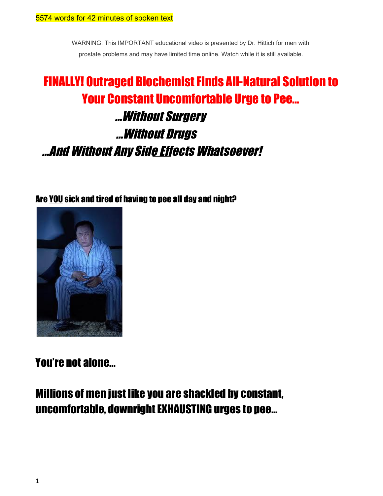WARNING: This IMPORTANT educational video is presented by Dr. Hittich for men with prostate problems and may have limited time online. Watch while it is still available.

# FINALLY! Outraged Biochemist Finds All-Natural Solution to Your Constant Uncomfortable Urge to Pee... ...Without Surgery ...Without Drugs ...And Without Any Side Effects Whatsoever!

Are YOU sick and tired of having to pee all day and night?



You're not alone…

Millions of men just like you are shackled by constant, uncomfortable, downright EXHAUSTING urges to pee...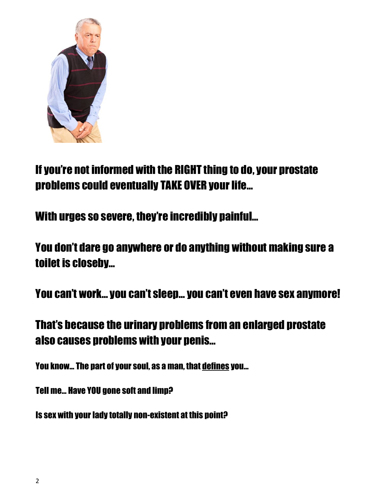

# If you're not informed with the RIGHT thing to do, your prostate problems could eventually TAKE OVER your life…

With urges so severe, they're incredibly painful…

You don't dare go anywhere or do anything without making sure a toilet is closeby…

You can't work… you can't sleep… you can't even have sex anymore!

## That's because the urinary problems from an enlarged prostate also causes problems with your penis…

You know… The part of your soul, as a man, that defines you…

Tell me… Have YOU gone soft and limp?

Is sex with your lady totally non-existent at this point?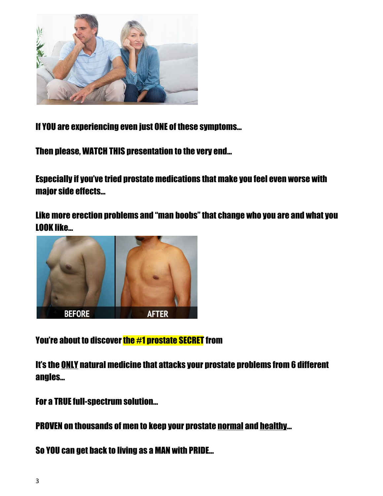

If YOU are experiencing even just ONE of these symptoms…

Then please, WATCH THIS presentation to the very end...

Especially if you've tried prostate medications that make you feel even worse with major side effects…

Like more erection problems and "man boobs" that change who you are and what you LOOK like…



You're about to discover the  $#1$  prostate SECRET from

It's the ONLY natural medicine that attacks your prostate problems from 6 different angles…

For a TRUE full-spectrum solution...

PROVEN on thousands of men to keep your prostate normal and healthy…

So YOU can get back to living as a MAN with PRIDE…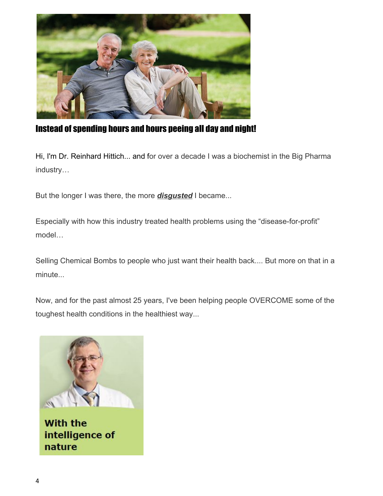

Instead of spending hours and hours peeing all day and night!

Hi, I'm Dr. Reinhard Hittich... and for over a decade I was a biochemist in the Big Pharma industry…

But the longer I was there, the more *disgusted* I became...

Especially with how this industry treated health problems using the "disease-for-profit" model…

Selling Chemical Bombs to people who just want their health back.... But more on that in a minute...

Now, and for the past almost 25 years, I've been helping people OVERCOME some of the toughest health conditions in the healthiest way...



**With the** intelligence of nature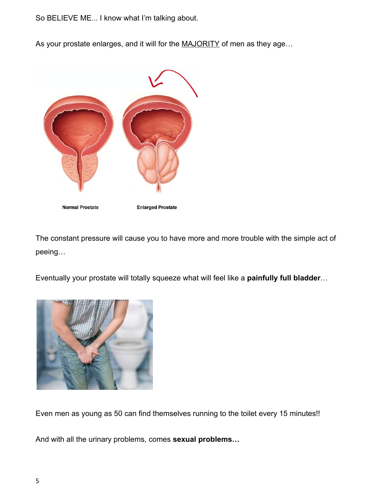So BELIEVE ME... I know what I'm talking about.

As your prostate enlarges, and it will for the MAJORITY of men as they age...



The constant pressure will cause you to have more and more trouble with the simple act of peeing…

Eventually your prostate will totally squeeze what will feel like a **painfully full bladder**…



Even men as young as 50 can find themselves running to the toilet every 15 minutes!!

And with all the urinary problems, comes **sexual problems…**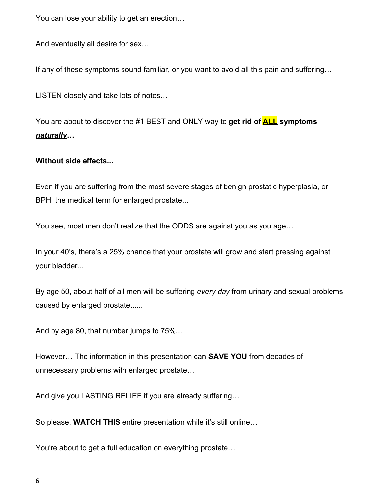You can lose your ability to get an erection…

And eventually all desire for sex…

If any of these symptoms sound familiar, or you want to avoid all this pain and suffering…

LISTEN closely and take lots of notes…

You are about to discover the #1 BEST and ONLY way to **get rid of ALL symptoms** *naturally***…**

### **Without side effects...**

Even if you are suffering from the most severe stages of benign prostatic hyperplasia, or BPH, the medical term for enlarged prostate...

You see, most men don't realize that the ODDS are against you as you age…

In your 40's, there's a 25% chance that your prostate will grow and start pressing against your bladder...

By age 50, about half of all men will be suffering *every day* from urinary and sexual problems caused by enlarged prostate......

And by age 80, that number jumps to 75%...

However… The information in this presentation can **SAVE YOU** from decades of unnecessary problems with enlarged prostate…

And give you LASTING RELIEF if you are already suffering…

So please, **WATCH THIS** entire presentation while it's still online…

You're about to get a full education on everything prostate…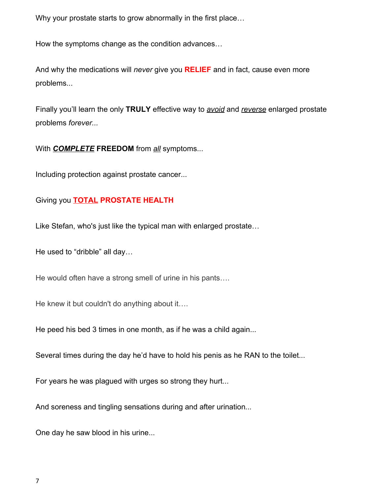Why your prostate starts to grow abnormally in the first place…

How the symptoms change as the condition advances…

And why the medications will *never* give you **RELIEF** and in fact, cause even more problems...

Finally you'll learn the only **TRULY** effective way to *avoid* and *reverse* enlarged prostate problems *forever...*

With *COMPLETE* **FREEDOM** from *all* symptoms...

Including protection against prostate cancer...

### Giving you **TOTAL PROSTATE HEALTH**

Like Stefan, who's just like the typical man with enlarged prostate…

He used to "dribble" all day…

He would often have a strong smell of urine in his pants….

He knew it but couldn't do anything about it….

He peed his bed 3 times in one month, as if he was a child again...

Several times during the day he'd have to hold his penis as he RAN to the toilet...

For years he was plagued with urges so strong they hurt...

And soreness and tingling sensations during and after urination*...*

One day he saw blood in his urine...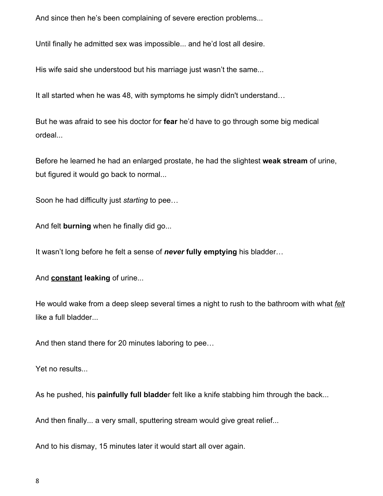And since then he's been complaining of severe erection problems...

Until finally he admitted sex was impossible... and he'd lost all desire.

His wife said she understood but his marriage just wasn't the same...

It all started when he was 48, with symptoms he simply didn't understand…

But he was afraid to see his doctor for **fear** he'd have to go through some big medical ordeal...

Before he learned he had an enlarged prostate, he had the slightest **weak stream** of urine, but figured it would go back to normal...

Soon he had difficulty just *starting* to pee…

And felt **burning** when he finally did go...

It wasn't long before he felt a sense of *never* **fully emptying** his bladder…

And **constant leaking** of urine...

He would wake from a deep sleep several times a night to rush to the bathroom with what *felt* like a full bladder...

And then stand there for 20 minutes laboring to pee…

Yet no results...

As he pushed, his **painfully full bladde**r felt like a knife stabbing him through the back...

And then finally... a very small, sputtering stream would give great relief...

And to his dismay, 15 minutes later it would start all over again.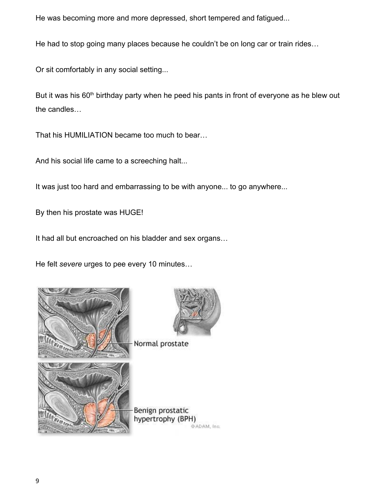He was becoming more and more depressed, short tempered and fatigued...

He had to stop going many places because he couldn't be on long car or train rides…

Or sit comfortably in any social setting...

But it was his  $60<sup>th</sup>$  birthday party when he peed his pants in front of everyone as he blew out the candles…

That his HUMILIATION became too much to bear…

And his social life came to a screeching halt...

It was just too hard and embarrassing to be with anyone... to go anywhere...

By then his prostate was HUGE!

It had all but encroached on his bladder and sex organs…

He felt *severe* urges to pee every 10 minutes…





Normal prostate

Benign prostatic hypertrophy (BPH) @ADAM, Inc.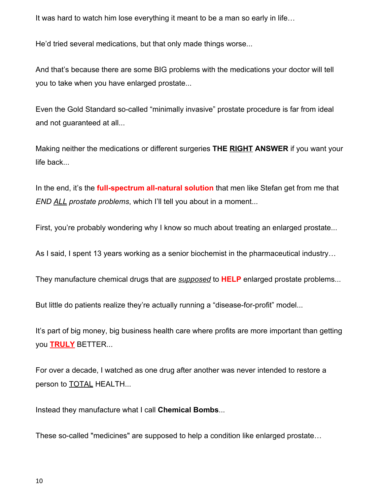It was hard to watch him lose everything it meant to be a man so early in life…

He'd tried several medications, but that only made things worse...

And that's because there are some BIG problems with the medications your doctor will tell you to take when you have enlarged prostate...

Even the Gold Standard so-called "minimally invasive" prostate procedure is far from ideal and not guaranteed at all...

Making neither the medications or different surgeries **THE RIGHT ANSWER** if you want your life back...

In the end, it's the **full-spectrum all-natural solution** that men like Stefan get from me that *END ALL prostate problems*, which I'll tell you about in a moment...

First, you're probably wondering why I know so much about treating an enlarged prostate...

As I said, I spent 13 years working as a senior biochemist in the pharmaceutical industry…

They manufacture chemical drugs that are *supposed* to **HELP** enlarged prostate problems...

But little do patients realize they're actually running a "disease-for-profit" model...

It's part of big money, big business health care where profits are more important than getting you **TRULY** BETTER...

For over a decade, I watched as one drug after another was never intended to restore a person to **TOTAL HEALTH...** 

Instead they manufacture what I call **Chemical Bombs**...

These so-called "medicines" are supposed to help a condition like enlarged prostate…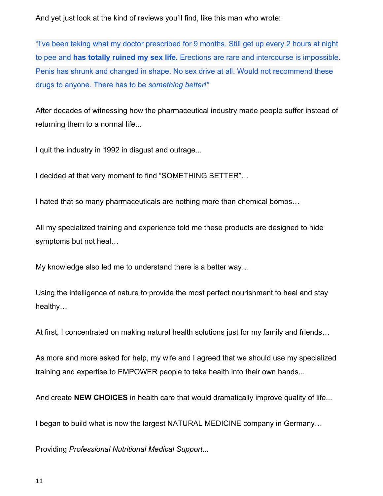And yet just look at the kind of reviews you'll find, like this man who wrote:

"I've been taking what my doctor prescribed for 9 months. Still get up every 2 hours at night to pee and **has totally ruined my sex life.** Erections are rare and intercourse is impossible. Penis has shrunk and changed in shape. No sex drive at all. Would not recommend these drugs to anyone. There has to be *something better!"*

After decades of witnessing how the pharmaceutical industry made people suffer instead of returning them to a normal life...

I quit the industry in 1992 in disgust and outrage...

I decided at that very moment to find "SOMETHING BETTER"…

I hated that so many pharmaceuticals are nothing more than chemical bombs…

All my specialized training and experience told me these products are designed to hide symptoms but not heal…

My knowledge also led me to understand there is a better way…

Using the intelligence of nature to provide the most perfect nourishment to heal and stay healthy…

At first, I concentrated on making natural health solutions just for my family and friends…

As more and more asked for help, my wife and I agreed that we should use my specialized training and expertise to EMPOWER people to take health into their own hands...

And create **NEW CHOICES** in health care that would dramatically improve quality of life...

I began to build what is now the largest NATURAL MEDICINE company in Germany…

Providing *Professional Nutritional Medical Support...*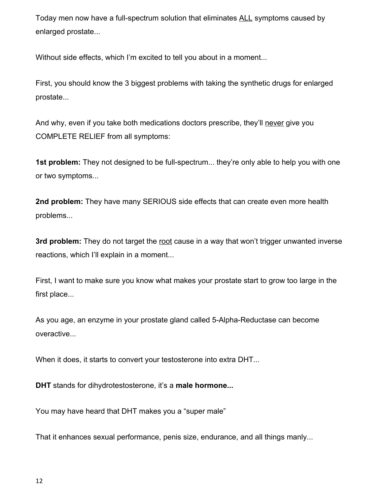Today men now have a full-spectrum solution that eliminates ALL symptoms caused by enlarged prostate...

Without side effects, which I'm excited to tell you about in a moment...

First, you should know the 3 biggest problems with taking the synthetic drugs for enlarged prostate...

And why, even if you take both medications doctors prescribe, they'll never give you COMPLETE RELIEF from all symptoms:

**1st problem:** They not designed to be full-spectrum... they're only able to help you with one or two symptoms...

**2nd problem:** They have many SERIOUS side effects that can create even more health problems...

**3rd problem:** They do not target the root cause in a way that won't trigger unwanted inverse reactions, which I'll explain in a moment...

First, I want to make sure you know what makes your prostate start to grow too large in the first place...

As you age, an enzyme in your prostate gland called 5-Alpha-Reductase can become overactive...

When it does, it starts to convert your testosterone into extra DHT...

**DHT** stands for dihydrotestosterone, it's a **male hormone...**

You may have heard that DHT makes you a "super male"

That it enhances sexual performance, penis size, endurance, and all things manly...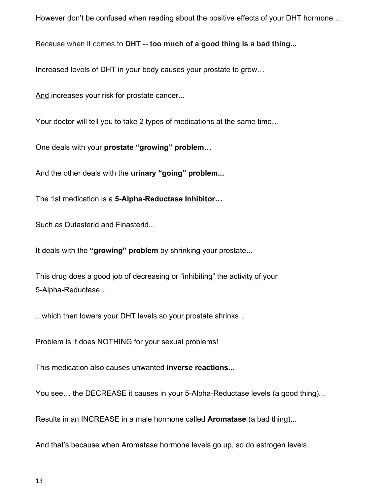However don't be confused when reading about the positive effects of your DHT hormone...

Because when it comes to **DHT -- too much of a good thing is a bad thing...**

Increased levels of DHT in your body causes your prostate to grow…

And increases your risk for prostate cancer...

Your doctor will tell you to take 2 types of medications at the same time…

One deals with your **prostate "growing" problem…**

And the other deals with the **urinary "going" problem...**

The 1st medication is a **5-Alpha-Reductase Inhibitor…**

Such as Dutasterid and Finasterid...

It deals with the **"growing" problem** by shrinking your prostate...

This drug does a good job of decreasing or "inhibiting" the activity of your 5-Alpha-Reductase…

...which then lowers your DHT levels so your prostate shrinks…

Problem is it does NOTHING for your sexual problems!

This medication also causes unwanted **inverse reactions**...

You see… the DECREASE it causes in your 5-Alpha-Reductase levels (a good thing)...

Results in an INCREASE in a male hormone called **Aromatase** (a bad thing)...

And that's because when Aromatase hormone levels go up, so do estrogen levels...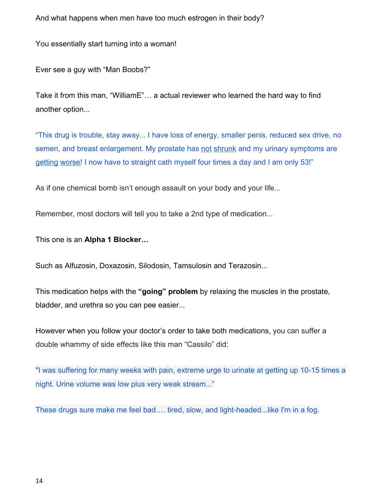And what happens when men have too much estrogen in their body?

You essentially start turning into a woman!

Ever see a guy with "Man Boobs?"

Take it from this man, "WilliamE"… a actual reviewer who learned the hard way to find another option...

"This drug is trouble, stay away... I have loss of energy, smaller penis, reduced sex drive, no semen, and breast enlargement. My prostate has not shrunk and my urinary symptoms are getting worse! I now have to straight cath myself four times a day and I am only 53!"

As if one chemical bomb isn't enough assault on your body and your life...

Remember, most doctors will tell you to take a 2nd type of medication...

This one is an **Alpha 1 Blocker…**

Such as Alfuzosin, Doxazosin, Silodosin, Tamsulosin and Terazosin...

This medication helps with the **"going" problem** by relaxing the muscles in the prostate, bladder, and urethra so you can pee easier...

However when you follow your doctor's order to take both medications, you can suffer a double whammy of side effects like this man "Cassilo" did:

"I was suffering for many weeks with pain, extreme urge to urinate at getting up 10-15 times a night. Urine volume was low plus very weak stream..."

These drugs sure make me feel bad…. tired, slow, and light-headed...like I'm in a fog.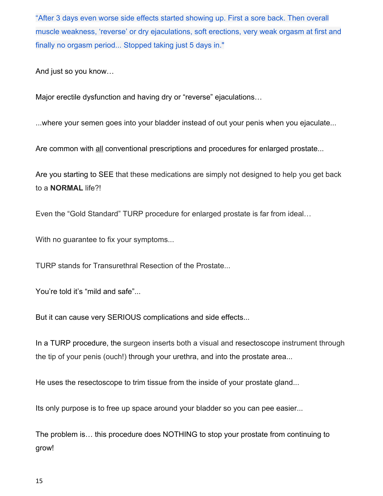"After 3 days even worse side effects started showing up. First a sore back. Then overall muscle weakness, 'reverse' or dry ejaculations, soft erections, very weak orgasm at first and finally no orgasm period... Stopped taking just 5 days in."

And just so you know…

Major erectile dysfunction and having dry or "reverse" ejaculations…

...where your semen goes into your bladder instead of out your penis when you ejaculate...

Are common with all conventional prescriptions and procedures for enlarged prostate...

Are you starting to SEE that these medications are simply not designed to help you get back to a **NORMAL** life?!

Even the "Gold Standard" TURP procedure for enlarged prostate is far from ideal…

With no guarantee to fix your symptoms...

TURP stands for Transurethral Resection of the Prostate...

You're told it's "mild and safe"...

But it can cause very SERIOUS complications and side effects...

In a TURP procedure, the surgeon inserts both a visual and resectoscope instrument through the tip of your penis (ouch!) through your urethra, and into the prostate area...

He uses the resectoscope to trim tissue from the inside of your prostate gland...

Its only purpose is to free up space around your bladder so you can pee easier...

The problem is… this procedure does NOTHING to stop your prostate from continuing to grow!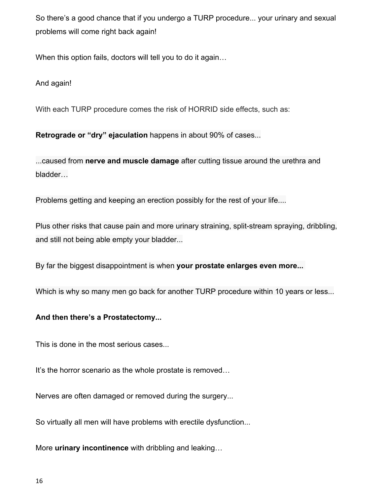So there's a good chance that if you undergo a TURP procedure... your urinary and sexual problems will come right back again!

When this option fails, doctors will tell you to do it again…

And again!

With each TURP procedure comes the risk of HORRID side effects, such as:

**Retrograde or "dry" ejaculation** happens in about 90% of cases...

...caused from **nerve and muscle damage** after cutting tissue around the urethra and bladder…

Problems getting and keeping an erection possibly for the rest of your life....

Plus other risks that cause pain and more urinary straining, split-stream spraying, dribbling, and still not being able empty your bladder...

By far the biggest disappointment is when **your prostate enlarges even more...**

Which is why so many men go back for another TURP procedure within 10 years or less...

#### **And then there's a Prostatectomy...**

This is done in the most serious cases...

It's the horror scenario as the whole prostate is removed…

Nerves are often damaged or removed during the surgery...

So virtually all men will have problems with erectile dysfunction...

More **urinary incontinence** with dribbling and leaking…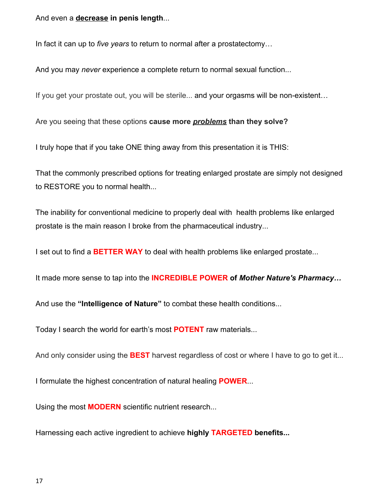And even a **decrease in penis length**...

In fact it can up to *five years* to return to normal after a prostatectomy…

And you may *never* experience a complete return to normal sexual function...

If you get your prostate out, you will be sterile... and your orgasms will be non-existent…

Are you seeing that these options **cause more** *problems* **than they solve?**

I truly hope that if you take ONE thing away from this presentation it is THIS:

That the commonly prescribed options for treating enlarged prostate are simply not designed to RESTORE you to normal health...

The inability for conventional medicine to properly deal with health problems like enlarged prostate is the main reason I broke from the pharmaceutical industry...

I set out to find a **BETTER WAY** to deal with health problems like enlarged prostate...

It made more sense to tap into the **INCREDIBLE POWER of** *Mother Nature's Pharmacy…*

And use the **"Intelligence of Nature"** to combat these health conditions...

Today I search the world for earth's most **POTENT** raw materials...

And only consider using the **BEST** harvest regardless of cost or where I have to go to get it...

I formulate the highest concentration of natural healing **POWER**...

Using the most **MODERN** scientific nutrient research...

Harnessing each active ingredient to achieve **highly TARGETED benefits...**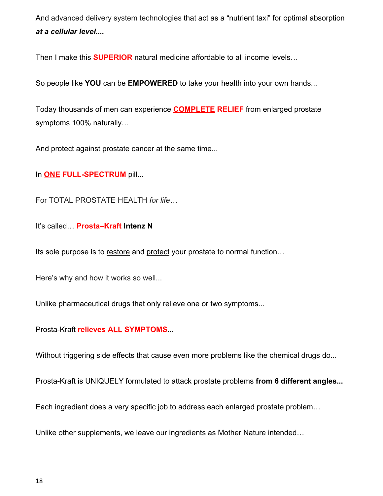And advanced delivery system technologies that act as a "nutrient taxi" for optimal absorption *at a cellular level....*

Then I make this **SUPERIOR** natural medicine affordable to all income levels…

So people like **YOU** can be **EMPOWERED** to take your health into your own hands...

Today thousands of men can experience **COMPLETE RELIEF** from enlarged prostate symptoms 100% naturally…

And protect against prostate cancer at the same time...

In **ONE FULL-SPECTRUM** pill...

For TOTAL PROSTATE HEALTH *for life…*

It's called… **Prosta–Kraft Intenz N**

Its sole purpose is to restore and protect your prostate to normal function…

Here's why and how it works so well...

Unlike pharmaceutical drugs that only relieve one or two symptoms...

Prosta-Kraft **relieves ALL SYMPTOMS**...

Without triggering side effects that cause even more problems like the chemical drugs do...

Prosta-Kraft is UNIQUELY formulated to attack prostate problems **from 6 different angles...**

Each ingredient does a very specific job to address each enlarged prostate problem…

Unlike other supplements, we leave our ingredients as Mother Nature intended…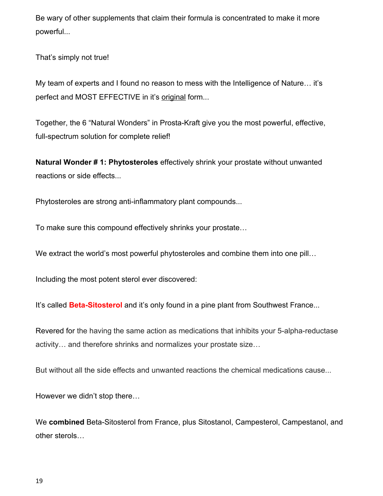Be wary of other supplements that claim their formula is concentrated to make it more powerful...

That's simply not true!

My team of experts and I found no reason to mess with the Intelligence of Nature… it's perfect and MOST EFFECTIVE in it's original form...

Together, the 6 "Natural Wonders" in Prosta-Kraft give you the most powerful, effective, full-spectrum solution for complete relief!

**Natural Wonder # 1: Phytosteroles** effectively shrink your prostate without unwanted reactions or side effects...

Phytosteroles are strong anti-inflammatory plant compounds...

To make sure this compound effectively shrinks your prostate…

We extract the world's most powerful phytosteroles and combine them into one pill...

Including the most potent sterol ever discovered:

It's called **Beta-Sitosterol** and it's only found in a pine plant from Southwest France...

Revered for the having the same action as medications that inhibits your 5-alpha-reductase activity… and therefore shrinks and normalizes your prostate size…

But without all the side effects and unwanted reactions the chemical medications cause...

However we didn't stop there…

We **combined** Beta-Sitosterol from France, plus Sitostanol, Campesterol, Campestanol, and other sterols…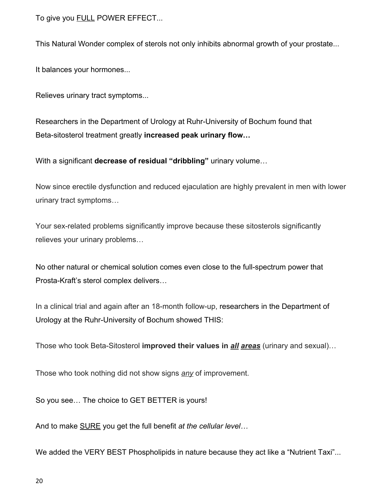To give you FULL POWER EFFECT...

This Natural Wonder complex of sterols not only inhibits abnormal growth of your prostate...

It balances your hormones...

Relieves urinary tract symptoms...

Researchers in the Department of Urology at Ruhr-University of Bochum found that Beta-sitosterol treatment greatly **increased peak urinary flow…**

With a significant **decrease of residual "dribbling"** urinary volume…

Now since erectile dysfunction and reduced ejaculation are highly prevalent in men with lower urinary tract symptoms…

Your sex-related problems significantly improve because these sitosterols significantly relieves your urinary problems…

No other natural or chemical solution comes even close to the full-spectrum power that Prosta-Kraft's sterol complex delivers…

In a clinical trial and again after an 18-month follow-up, researchers in the Department of Urology at the Ruhr-University of Bochum showed THIS:

Those who took Beta-Sitosterol **improved their values in** *all areas* (urinary and sexual)…

Those who took nothing did not show signs *any* of improvement.

So you see… The choice to GET BETTER is yours!

And to make SURE you get the full benefit *at the cellular level…*

We added the VERY BEST Phospholipids in nature because they act like a "Nutrient Taxi"...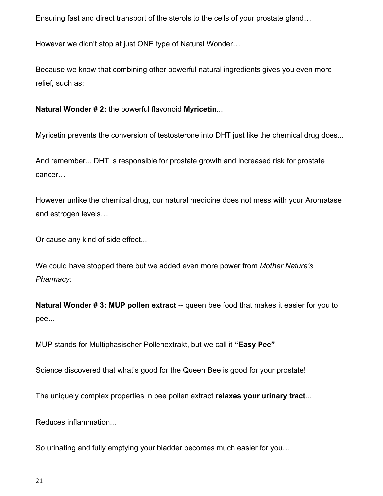Ensuring fast and direct transport of the sterols to the cells of your prostate gland…

However we didn't stop at just ONE type of Natural Wonder…

Because we know that combining other powerful natural ingredients gives you even more relief, such as:

**Natural Wonder # 2:** the powerful flavonoid **Myricetin**...

Myricetin prevents the conversion of testosterone into DHT just like the chemical drug does...

And remember... DHT is responsible for prostate growth and increased risk for prostate cancer…

However unlike the chemical drug, our natural medicine does not mess with your Aromatase and estrogen levels…

Or cause any kind of side effect...

We could have stopped there but we added even more power from *Mother Nature's Pharmacy:*

**Natural Wonder #3: MUP pollen extract** -- queen bee food that makes it easier for you to pee...

MUP stands for Multiphasischer Pollenextrakt, but we call it **"Easy Pee"**

Science discovered that what's good for the Queen Bee is good for your prostate!

The uniquely complex properties in bee pollen extract **relaxes your urinary tract**...

Reduces inflammation...

So urinating and fully emptying your bladder becomes much easier for you…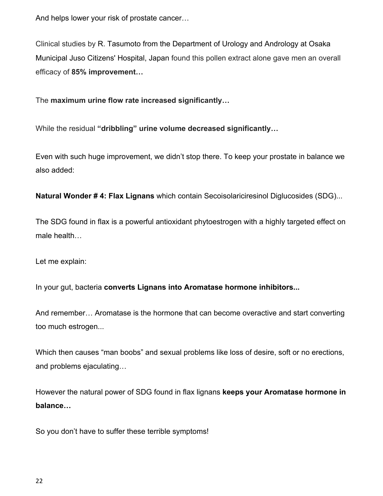And helps lower your risk of prostate cancer…

Clinical studies by R. Tasumoto from the Department of Urology and Andrology at Osaka Municipal Juso Citizens' Hospital, Japan found this pollen extract alone gave men an overall efficacy of **85% improvement…**

The **maximum urine flow rate increased significantly…**

While the residual **"dribbling" urine volume decreased significantly…**

Even with such huge improvement, we didn't stop there. To keep your prostate in balance we also added:

**Natural Wonder # 4: Flax Lignans** which contain Secoisolariciresinol Diglucosides (SDG)...

The SDG found in flax is a powerful antioxidant phytoestrogen with a highly targeted effect on male health…

Let me explain:

In your gut, bacteria **converts Lignans into Aromatase hormone inhibitors...**

And remember… Aromatase is the hormone that can become overactive and start converting too much estrogen...

Which then causes "man boobs" and sexual problems like loss of desire, soft or no erections, and problems ejaculating…

However the natural power of SDG found in flax lignans **keeps your Aromatase hormone in balance…**

So you don't have to suffer these terrible symptoms!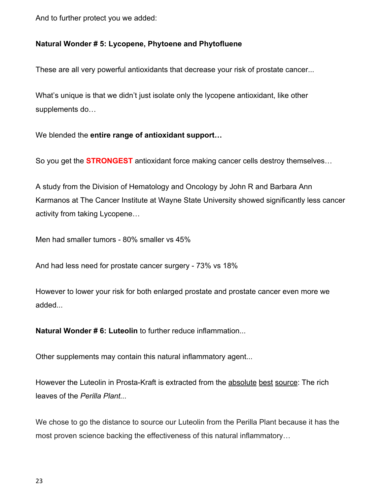And to further protect you we added:

#### **Natural Wonder # 5: Lycopene, Phytoene and Phytofluene**

These are all very powerful antioxidants that decrease your risk of prostate cancer...

What's unique is that we didn't just isolate only the lycopene antioxidant, like other supplements do…

We blended the **entire range of antioxidant support…**

So you get the **STRONGEST** antioxidant force making cancer cells destroy themselves…

A study from the Division of Hematology and Oncology by John R and Barbara Ann Karmanos at The Cancer Institute at Wayne State University showed significantly less cancer activity from taking Lycopene…

Men had smaller tumors - 80% smaller vs 45%

And had less need for prostate cancer surgery - 73% vs 18%

However to lower your risk for both enlarged prostate and prostate cancer even more we added...

**Natural Wonder # 6: Luteolin** to further reduce inflammation...

Other supplements may contain this natural inflammatory agent...

However the Luteolin in Prosta-Kraft is extracted from the absolute best source: The rich leaves of the *Perilla Plant...*

We chose to go the distance to source our Luteolin from the Perilla Plant because it has the most proven science backing the effectiveness of this natural inflammatory…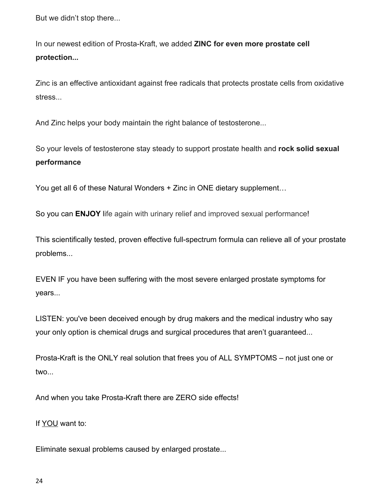But we didn't stop there...

In our newest edition of Prosta-Kraft, we added **ZINC for even more prostate cell protection***...*

Zinc is an effective antioxidant against free radicals that protects prostate cells from oxidative stress...

And Zinc helps your body maintain the right balance of testosterone...

So your levels of testosterone stay steady to support prostate health and **rock solid sexual performance**

You get all 6 of these Natural Wonders + Zinc in ONE dietary supplement…

So you can **ENJOY** life again with urinary relief and improved sexual performance!

This scientifically tested, proven effective full-spectrum formula can relieve all of your prostate problems...

EVEN IF you have been suffering with the most severe enlarged prostate symptoms for years...

LISTEN: you've been deceived enough by drug makers and the medical industry who say your only option is chemical drugs and surgical procedures that aren't guaranteed...

Prosta-Kraft is the ONLY real solution that frees you of ALL SYMPTOMS – not just one or two...

And when you take Prosta-Kraft there are ZERO side effects!

If YOU want to:

Eliminate sexual problems caused by enlarged prostate...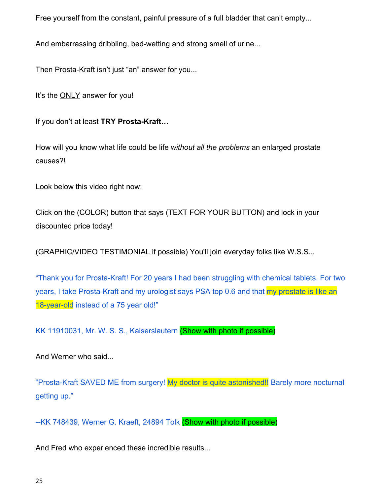Free yourself from the constant, painful pressure of a full bladder that can't empty...

And embarrassing dribbling, bed-wetting and strong smell of urine...

Then Prosta-Kraft isn't just "an" answer for you...

It's the ONLY answer for you!

If you don't at least **TRY Prosta-Kraft…**

How will you know what life could be life *without all the problems* an enlarged prostate causes?!

Look below this video right now:

Click on the (COLOR) button that says (TEXT FOR YOUR BUTTON) and lock in your discounted price today!

(GRAPHIC/VIDEO TESTIMONIAL if possible) You'll join everyday folks like W.S.S...

"Thank you for Prosta-Kraft! For 20 years I had been struggling with chemical tablets. For two years, I take Prosta-Kraft and my urologist says PSA top 0.6 and that my prostate is like an 18-year-old instead of a 75 year old!"

KK 11910031, Mr. W. S. S., Kaiserslautern (Show with photo if possible)

And Werner who said...

"Prosta-Kraft SAVED ME from surgery! My doctor is quite astonished!! Barely more nocturnal getting up."

--KK 748439, Werner G. Kraeft, 24894 Tolk (Show with photo if possible)

And Fred who experienced these incredible results...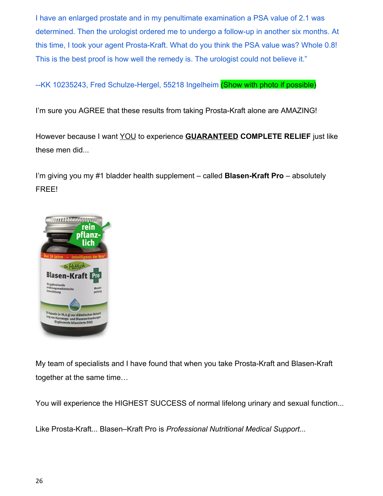I have an enlarged prostate and in my penultimate examination a PSA value of 2.1 was determined. Then the urologist ordered me to undergo a follow-up in another six months. At this time, I took your agent Prosta-Kraft. What do you think the PSA value was? Whole 0.8! This is the best proof is how well the remedy is. The urologist could not believe it."

--KK 10235243, Fred Schulze-Hergel, 55218 Ingelheim (Show with photo if possible)

I'm sure you AGREE that these results from taking Prosta-Kraft alone are AMAZING!

However because I want YOU to experience **GUARANTEED COMPLETE RELIEF** just like these men did...

I'm giving you my #1 bladder health supplement – called **Blasen-Kraft Pro** – absolutely FREE!



My team of specialists and I have found that when you take Prosta-Kraft and Blasen-Kraft together at the same time…

You will experience the HIGHEST SUCCESS of normal lifelong urinary and sexual function...

Like Prosta-Kraft... Blasen–Kraft Pro is *Professional Nutritional Medical Support...*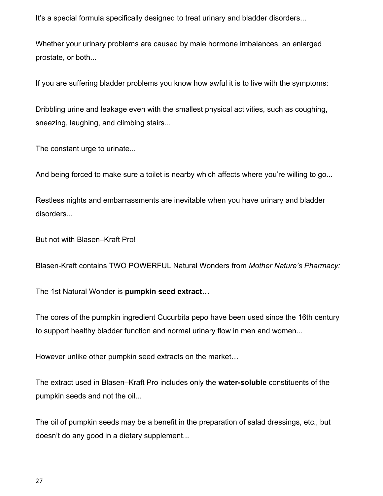It's a special formula specifically designed to treat urinary and bladder disorders...

Whether your urinary problems are caused by male hormone imbalances, an enlarged prostate, or both...

If you are suffering bladder problems you know how awful it is to live with the symptoms:

Dribbling urine and leakage even with the smallest physical activities, such as coughing, sneezing, laughing, and climbing stairs...

The constant urge to urinate...

And being forced to make sure a toilet is nearby which affects where you're willing to go...

Restless nights and embarrassments are inevitable when you have urinary and bladder disorders...

But not with Blasen–Kraft Pro!

Blasen-Kraft contains TWO POWERFUL Natural Wonders from *Mother Nature's Pharmacy:*

The 1st Natural Wonder is **pumpkin seed extract…**

The cores of the pumpkin ingredient Cucurbita pepo have been used since the 16th century to support healthy bladder function and normal urinary flow in men and women...

However unlike other pumpkin seed extracts on the market…

The extract used in Blasen–Kraft Pro includes only the **water-soluble** constituents of the pumpkin seeds and not the oil...

The oil of pumpkin seeds may be a benefit in the preparation of salad dressings, etc., but doesn't do any good in a dietary supplement...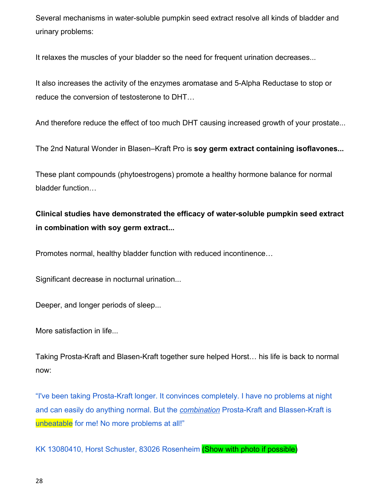Several mechanisms in water-soluble pumpkin seed extract resolve all kinds of bladder and urinary problems:

It relaxes the muscles of your bladder so the need for frequent urination decreases...

It also increases the activity of the enzymes aromatase and 5-Alpha Reductase to stop or reduce the conversion of testosterone to DHT…

And therefore reduce the effect of too much DHT causing increased growth of your prostate...

The 2nd Natural Wonder in Blasen–Kraft Pro is **soy germ extract containing isoflavones...**

These plant compounds (phytoestrogens) promote a healthy hormone balance for normal bladder function…

**Clinical studies have demonstrated the efficacy of water-soluble pumpkin seed extract in combination with soy germ extract...**

Promotes normal, healthy bladder function with reduced incontinence…

Significant decrease in nocturnal urination...

Deeper, and longer periods of sleep...

More satisfaction in life...

Taking Prosta-Kraft and Blasen-Kraft together sure helped Horst… his life is back to normal now:

"I've been taking Prosta-Kraft longer. It convinces completely. I have no problems at night and can easily do anything normal. But the *combination* Prosta-Kraft and Blassen-Kraft is unbeatable for me! No more problems at all!"

KK 13080410, Horst Schuster, 83026 Rosenheim (Show with photo if possible)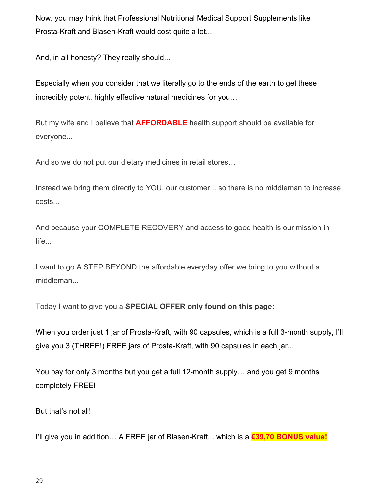Now, you may think that Professional Nutritional Medical Support Supplements like Prosta-Kraft and Blasen-Kraft would cost quite a lot...

And, in all honesty? They really should...

Especially when you consider that we literally go to the ends of the earth to get these incredibly potent, highly effective natural medicines for you…

But my wife and I believe that **AFFORDABLE** health support should be available for everyone...

And so we do not put our dietary medicines in retail stores…

Instead we bring them directly to YOU, our customer... so there is no middleman to increase costs...

And because your COMPLETE RECOVERY and access to good health is our mission in life...

I want to go A STEP BEYOND the affordable everyday offer we bring to you without a middleman...

Today I want to give you a **SPECIAL OFFER only found on this page:**

When you order just 1 jar of Prosta-Kraft, with 90 capsules, which is a full 3-month supply, I'll give you 3 (THREE!) FREE jars of Prosta-Kraft, with 90 capsules in each jar...

You pay for only 3 months but you get a full 12-month supply… and you get 9 months completely FREE!

But that's not all!

I'll give you in addition… A FREE jar of Blasen-Kraft... which is a **€39,70 BONUS value!**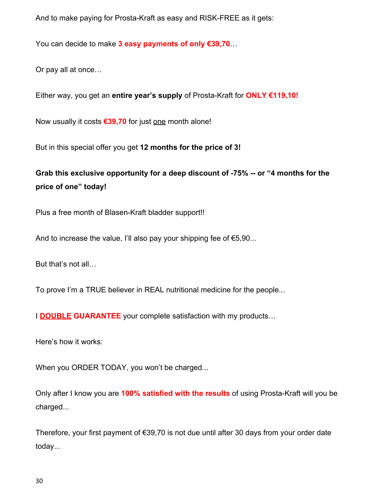And to make paying for Prosta-Kraft as easy and RISK-FREE as it gets:

You can decide to make **3 easy payments of only €39,70**…

Or pay all at once…

Either way, you get an **entire year's supply** of Prosta-Kraft for **ONLY €119,10!**

Now usually it costs **€39,70** for just one month alone!

But in this special offer you get **12 months for the price of 3!**

**Grab this exclusive opportunity for a deep discount of -75% -- or "4 months for the price of one" today!**

Plus a free month of Blasen-Kraft bladder support!!

And to increase the value, I'll also pay your shipping fee of  $E$ 5,90...

But that's not all…

To prove I'm a TRUE believer in REAL nutritional medicine for the people...

I **DOUBLE GUARANTEE** your complete satisfaction with my products…

Here's how it works:

When you ORDER TODAY, you won't be charged...

Only after I know you are **100% satisfied with the results** of using Prosta-Kraft will you be charged...

Therefore, your first payment of €39,70 is not due until after 30 days from your order date today...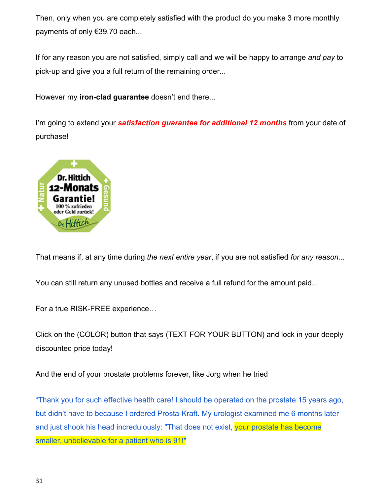Then, only when you are completely satisfied with the product do you make 3 more monthly payments of only €39,70 each...

If for any reason you are not satisfied, simply call and we will be happy to arrange *and pay* to pick-up and give you a full return of the remaining order...

However my **iron-clad guarantee** doesn't end there...

 I'm going to extend your *satisfaction guarantee for additional 12 months* from your date of purchase!



That means if, at any time during *the next entire year*, if you are not satisfied *for any reason...*

You can still return any unused bottles and receive a full refund for the amount paid...

For a true RISK-FREE experience…

Click on the (COLOR) button that says (TEXT FOR YOUR BUTTON) and lock in your deeply discounted price today!

And the end of your prostate problems forever, like Jorg when he tried

"Thank you for such effective health care! I should be operated on the prostate 15 years ago, but didn't have to because I ordered Prosta-Kraft. My urologist examined me 6 months later and just shook his head incredulously: "That does not exist, your prostate has become smaller, unbelievable for a patient who is 91!"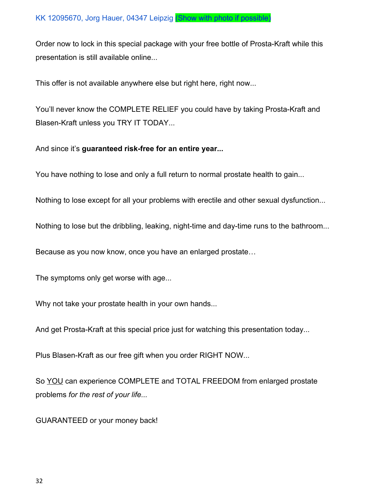Order now to lock in this special package with your free bottle of Prosta-Kraft while this presentation is still available online...

This offer is not available anywhere else but right here, right now...

You'll never know the COMPLETE RELIEF you could have by taking Prosta-Kraft and Blasen-Kraft unless you TRY IT TODAY...

And since it's **guaranteed risk-free for an entire year...**

You have nothing to lose and only a full return to normal prostate health to gain...

Nothing to lose except for all your problems with erectile and other sexual dysfunction...

Nothing to lose but the dribbling, leaking, night-time and day-time runs to the bathroom...

Because as you now know, once you have an enlarged prostate…

The symptoms only get worse with age...

Why not take your prostate health in your own hands...

And get Prosta-Kraft at this special price just for watching this presentation today...

Plus Blasen-Kraft as our free gift when you order RIGHT NOW...

So YOU can experience COMPLETE and TOTAL FREEDOM from enlarged prostate problems *for the rest of your life...*

GUARANTEED or your money back!